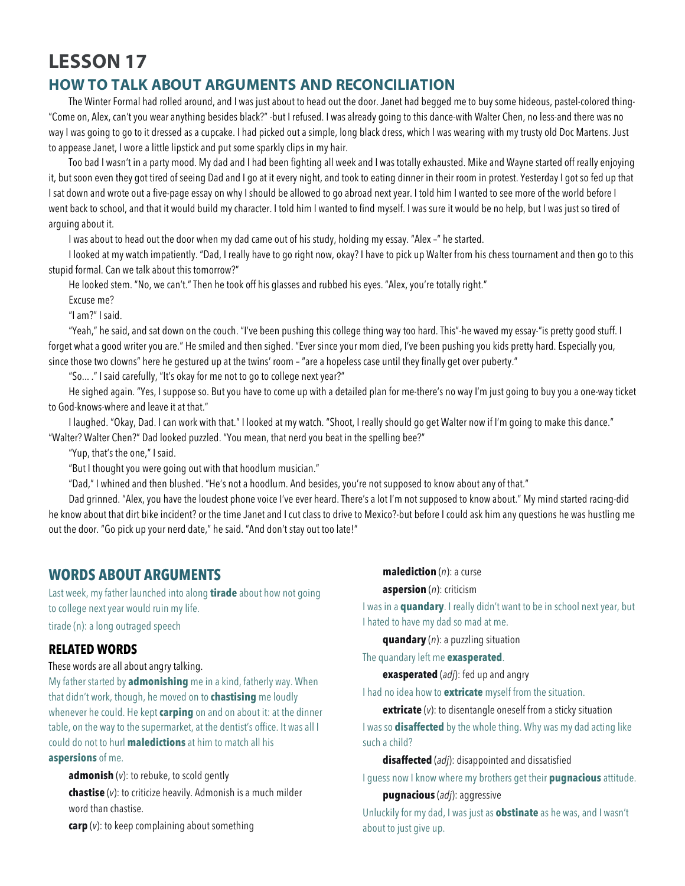# **LESSON 17**

# **HOW TO TALK ABOUT ARGUMENTS AND RECONCILIATION**

The Winter Formal had rolled around, and I was just about to head out the door. Janet had begged me to buy some hideous, pastel-colored thing- "Come on, Alex, can't you wear anything besides black?" -but I refused. I was already going to this dance-with Walter Chen, no less-and there was no way I was going to go to it dressed as a cupcake. I had picked out a simple, long black dress, which I was wearing with my trusty old Doc Martens. Just to appease Janet, I wore a little lipstick and put some sparkly clips in my hair.

Too bad I wasn't in a party mood. My dad and I had been fighting all week and I was totally exhausted. Mike and Wayne started off really enjoying it, but soon even they got tired of seeing Dad and I go at it every night, and took to eating dinner in their room in protest. Yesterday I got so fed up that I sat down and wrote out a five-page essay on why I should be allowed to go abroad next year. I told him I wanted to see more of the world before I went back to school, and that it would build my character. I told him I wanted to find myself. I was sure it would be no help, but I was just so tired of arguing about it.

I was about to head out the door when my dad came out of his study, holding my essay. "Alex –" he started.

I looked at my watch impatiently. "Dad, I really have to go right now, okay? I have to pick up Walter from his chess tournament and then go to this stupid formal. Can we talk about this tomorrow?"

He looked stem. "No, we can't." Then he took off his glasses and rubbed his eyes. "Alex, you're totally right."

Excuse me? "I am?" I said.

"Yeah," he said, and sat down on the couch. "I've been pushing this college thing way too hard. This"-he waved my essay-"is pretty good stuff. I forget what a good writer you are." He smiled and then sighed. "Ever since your mom died, I've been pushing you kids pretty hard. Especially you, since those two clowns" here he gestured up at the twins' room – "are a hopeless case until they finally get over puberty."

"So... ." I said carefully, "It's okay for me not to go to college next year?"

He sighed again. "Yes, I suppose so. But you have to come up with a detailed plan for me-there's no way I'm just going to buy you a one-way ticket to God-knows-where and leave it at that."

I laughed. "Okay, Dad. I can work with that." I looked at my watch. "Shoot, I really should go get Walter now if I'm going to make this dance." "Walter? Walter Chen?" Dad looked puzzled. "You mean, that nerd you beat in the spelling bee?"

"Yup, that's the one," I said.

"But I thought you were going out with that hoodlum musician."

"Dad," I whined and then blushed. "He's not a hoodlum. And besides, you're not supposed to know about any of that."

Dad grinned. "Alex, you have the loudest phone voice I've ever heard. There's a lot I'm not supposed to know about." My mind started racing-did he know about that dirt bike incident? or the time Janet and I cut class to drive to Mexico?-but before I could ask him any questions he was hustling me out the door. "Go pick up your nerd date," he said. "And don't stay out too late!"

# **WORDS ABOUT ARGUMENTS**

Last week, my father launched into along **tirade** about how not going to college next year would ruin my life. tirade (n): a long outraged speech

## **RELATED WORDS**

These words are all about angry talking.

My father started by **admonishing** me in a kind, fatherly way. When that didn't work, though, he moved on to **chastising** me loudly whenever he could. He kept **carping** on and on about it: at the dinner table, on the way to the supermarket, at the dentist's office. It was all I could do not to hurl **maledictions** at him to match all his **aspersions** of me.

**admonish** (*v*): to rebuke, to scold gently **chastise** (*v*): to criticize heavily. Admonish is a much milder word than chastise.

**carp** (*v*): to keep complaining about something

**malediction** (*n*): a curse

## **aspersion** (*n*): criticism

I was in a **quandary**. I really didn't want to be in school next year, but I hated to have my dad so mad at me.

**quandary** (*n*): a puzzling situation

The quandary left me **exasperated**.

**exasperated** (*adj*): fed up and angry

I had no idea how to **extricate** myself from the situation.

**extricate** (*v*): to disentangle oneself from a sticky situation

I was so **disaffected** by the whole thing. Why was my dad acting like such a child?

**disaffected** (*adj*): disappointed and dissatisfied

I guess now I know where my brothers get their **pugnacious** attitude.

## **pugnacious** (*adj*): aggressive

Unluckily for my dad, I was just as **obstinate** as he was, and I wasn't about to just give up.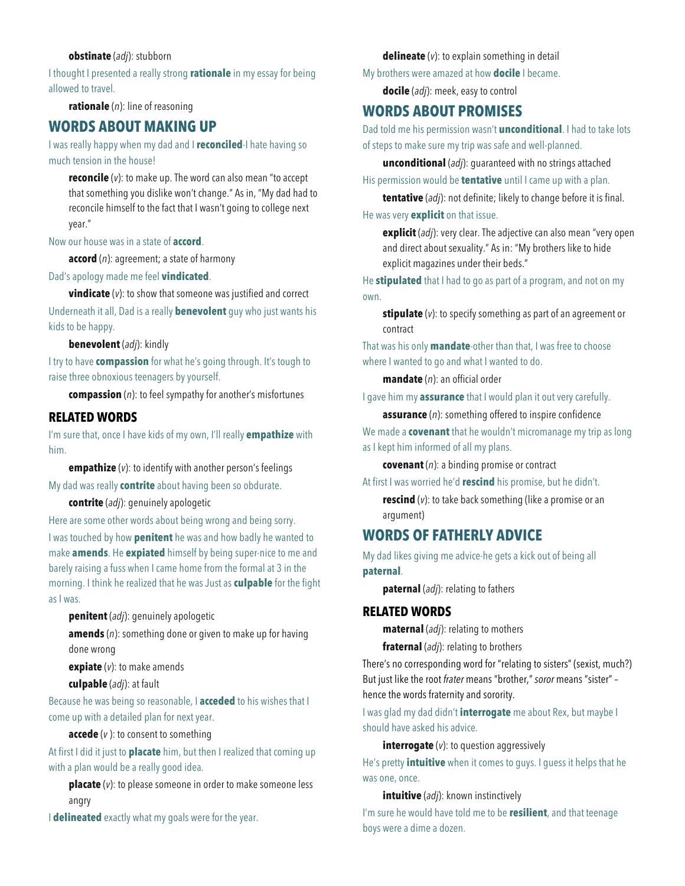#### **obstinate** (*adj*): stubborn

I thought I presented a really strong **rationale** in my essay for being allowed to travel.

**rationale** (*n*): line of reasoning

## **WORDS ABOUT MAKING UP**

I was really happy when my dad and I **reconciled**-I hate having so much tension in the house!

**reconcile** (*v*): to make up. The word can also mean "to accept that something you dislike won't change." As in, "My dad had to reconcile himself to the fact that I wasn't going to college next year."

#### Now our house was in a state of **accord**.

**accord** (*n*): agreement; a state of harmony

Dad's apology made me feel **vindicated**.

**vindicate** (*v*): to show that someone was justified and correct

Underneath it all, Dad is a really **benevolent** guy who just wants his kids to be happy.

## **benevolent** (*adj*): kindly

I try to have **compassion** for what he's going through. It's tough to raise three obnoxious teenagers by yourself.

**compassion** (*n*): to feel sympathy for another's misfortunes

## **RELATED WORDS**

I'm sure that, once I have kids of my own, I'll really **empathize** with him.

**empathize** (*v*): to identify with another person's feelings My dad was really **contrite** about having been so obdurate.

**contrite** (*adj*): genuinely apologetic

Here are some other words about being wrong and being sorry. I was touched by how **penitent** he was and how badly he wanted to make **amends**. He **expiated** himself by being super-nice to me and barely raising a fuss when I came home from the formal at 3 in the morning. I think he realized that he was Just as **culpable** for the fight as I was.

**penitent** (*adj*): genuinely apologetic

**amends** (*n*): something done or given to make up for having done wrong

**expiate** (*v*): to make amends

**culpable** (*adj*): at fault

Because he was being so reasonable, I **acceded** to his wishes that I come up with a detailed plan for next year.

**accede** (*v* ): to consent to something

At first I did it just to **placate** him, but then I realized that coming up with a plan would be a really good idea.

**placate** (*v*): to please someone in order to make someone less angry

I **delineated** exactly what my goals were for the year.

**delineate** (*v*): to explain something in detail

My brothers were amazed at how **docile** I became.

**docile** (*adj*): meek, easy to control

# **WORDS ABOUT PROMISES**

Dad told me his permission wasn't **unconditional**. I had to take lots of steps to make sure my trip was safe and well-planned.

**unconditional** (*adj*): guaranteed with no strings attached His permission would be **tentative** until I came up with a plan.

**tentative** (*adj*): not definite; likely to change before it is final.

He was very **explicit** on that issue.

**explicit** (*adj*): very clear. The adjective can also mean "very open and direct about sexuality." As in: "My brothers like to hide explicit magazines under their beds."

He **stipulated** that I had to go as part of a program, and not on my own.

**stipulate** (*v*): to specify something as part of an agreement or contract

That was his only **mandate**-other than that, I was free to choose where I wanted to go and what I wanted to do.

**mandate** (*n*): an official order

I gave him my **assurance** that I would plan it out very carefully.

**assurance** (*n*): something offered to inspire confidence

We made a **covenant** that he wouldn't micromanage my trip as long as I kept him informed of all my plans.

**covenant** (*n*): a binding promise or contract

At first I was worried he'd **rescind** his promise, but he didn't.

**rescind** (*v*): to take back something (like a promise or an argument)

# **WORDS OF FATHERLY ADVICE**

My dad likes giving me advice-he gets a kick out of being all **paternal**.

**paternal** (*adj*): relating to fathers

## **RELATED WORDS**

**maternal** (*adj*): relating to mothers

**fraternal** (*adj*): relating to brothers

There's no corresponding word for "relating to sisters" (sexist, much?) But just like the root *frater* means "brother," *soror* means "sister" – hence the words fraternity and sorority.

I was glad my dad didn't **interrogate** me about Rex, but maybe I should have asked his advice.

**interrogate** (*v*): to question aggressively

He's pretty **intuitive** when it comes to guys. I guess it helps that he was one, once.

**intuitive** (*adj*): known instinctively

I'm sure he would have told me to be **resilient**, and that teenage boys were a dime a dozen.